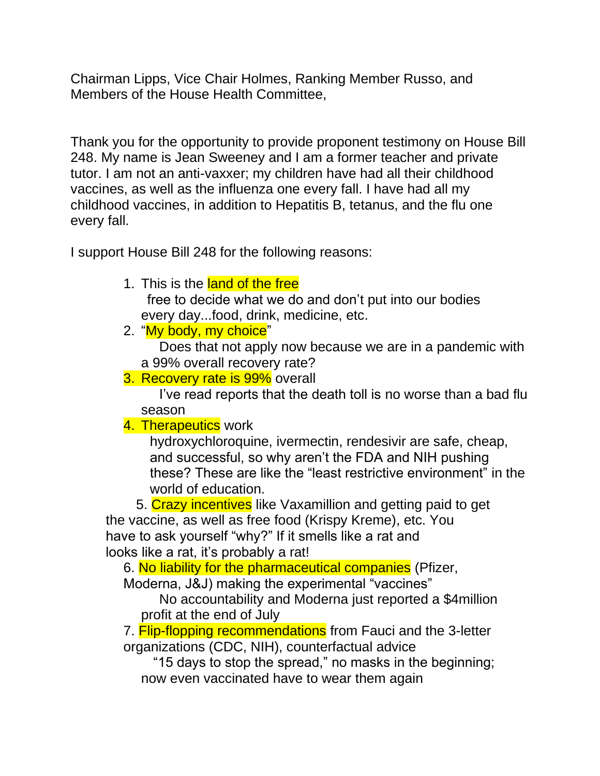Chairman Lipps, Vice Chair Holmes, Ranking Member Russo, and Members of the House Health Committee,

Thank you for the opportunity to provide proponent testimony on House Bill 248. My name is Jean Sweeney and I am a former teacher and private tutor. I am not an anti-vaxxer; my children have had all their childhood vaccines, as well as the influenza one every fall. I have had all my childhood vaccines, in addition to Hepatitis B, tetanus, and the flu one every fall.

I support House Bill 248 for the following reasons:

1. This is the land of the free

free to decide what we do and don't put into our bodies every day...food, drink, medicine, etc.

2. "My body, my choice"

 Does that not apply now because we are in a pandemic with a 99% overall recovery rate?

3. Recovery rate is 99% overall

 I've read reports that the death toll is no worse than a bad flu season

## 4. Therapeutics work

hydroxychloroquine, ivermectin, rendesivir are safe, cheap, and successful, so why aren't the FDA and NIH pushing these? These are like the "least restrictive environment" in the world of education.

 5. Crazy incentives like Vaxamillion and getting paid to get the vaccine, as well as free food (Krispy Kreme), etc. You have to ask yourself "why?" If it smells like a rat and looks like a rat, it's probably a rat!

6. No liability for the pharmaceutical companies (Pfizer,

Moderna, J&J) making the experimental "vaccines"

 No accountability and Moderna just reported a \$4million profit at the end of July

7. **Flip-flopping recommendations** from Fauci and the 3-letter organizations (CDC, NIH), counterfactual advice

 "15 days to stop the spread," no masks in the beginning; now even vaccinated have to wear them again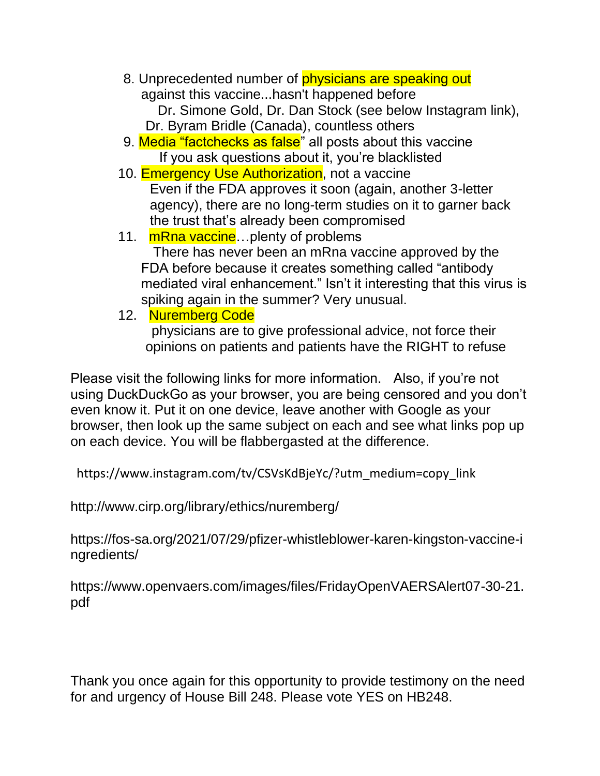8. Unprecedented number of **physicians are speaking out** against this vaccine...hasn't happened before Dr. Simone Gold, Dr. Dan Stock (see below Instagram link),

Dr. Byram Bridle (Canada), countless others

- 9. Media "factchecks as false" all posts about this vaccine If you ask questions about it, you're blacklisted
- 10. **Emergency Use Authorization**, not a vaccine Even if the FDA approves it soon (again, another 3-letter agency), there are no long-term studies on it to garner back the trust that's already been compromised
- 11. mRna vaccine...plenty of problems There has never been an mRna vaccine approved by the FDA before because it creates something called "antibody mediated viral enhancement." Isn't it interesting that this virus is spiking again in the summer? Very unusual.
- 12. Nuremberg Code

physicians are to give professional advice, not force their opinions on patients and patients have the RIGHT to refuse

Please visit the following links for more information. Also, if you're not using DuckDuckGo as your browser, you are being censored and you don't even know it. Put it on one device, leave another with Google as your browser, then look up the same subject on each and see what links pop up on each device. You will be flabbergasted at the difference.

[https://www.instagram.com/tv/CSVsKdBjeYc/?utm\\_medium=copy\\_link](https://www.instagram.com/tv/CSVsKdBjeYc/?utm_medium=copy_link)

<http://www.cirp.org/library/ethics/nuremberg/>

[https://fos-sa.org/2021/07/29/pfizer-whistleblower-karen-kingston-vaccine-i](https://fos-sa.org/2021/07/29/pfizer-whistleblower-karen-kingston-vaccine-ingredients/) [ngredients/](https://fos-sa.org/2021/07/29/pfizer-whistleblower-karen-kingston-vaccine-ingredients/)

[https://www.openvaers.com/images/files/FridayOpenVAERSAlert07-30-21.](https://www.openvaers.com/images/files/FridayOpenVAERSAlert07-30-21.pdf) [pdf](https://www.openvaers.com/images/files/FridayOpenVAERSAlert07-30-21.pdf)

Thank you once again for this opportunity to provide testimony on the need for and urgency of House Bill 248. Please vote YES on HB248.